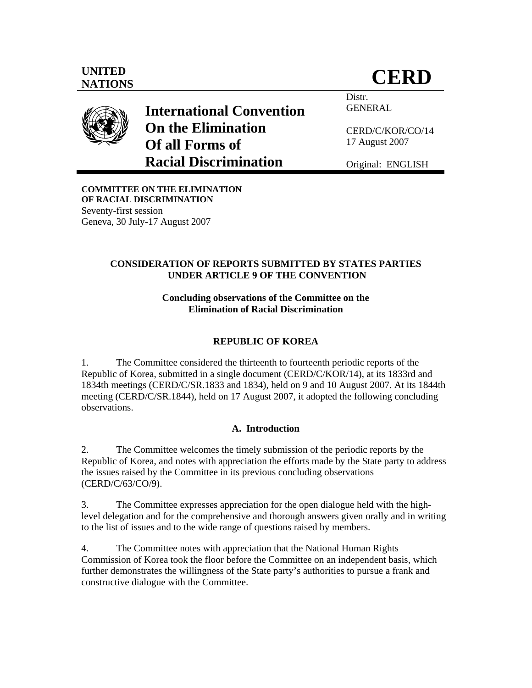

**International Convention On the Elimination Of all Forms of Racial Discrimination** 

Distr. GENERAL

CERD/C/KOR/CO/14 17 August 2007

Original: ENGLISH

**COMMITTEE ON THE ELIMINATION OF RACIAL DISCRIMINATION**  Seventy-first session Geneva, 30 July-17 August 2007

# **CONSIDERATION OF REPORTS SUBMITTED BY STATES PARTIES UNDER ARTICLE 9 OF THE CONVENTION**

# **Concluding observations of the Committee on the Elimination of Racial Discrimination**

# **REPUBLIC OF KOREA**

1. The Committee considered the thirteenth to fourteenth periodic reports of the Republic of Korea, submitted in a single document (CERD/C/KOR/14), at its 1833rd and 1834th meetings (CERD/C/SR.1833 and 1834), held on 9 and 10 August 2007. At its 1844th meeting (CERD/C/SR.1844), held on 17 August 2007, it adopted the following concluding observations.

# **A. Introduction**

2. The Committee welcomes the timely submission of the periodic reports by the Republic of Korea, and notes with appreciation the efforts made by the State party to address the issues raised by the Committee in its previous concluding observations (CERD/C/63/CO/9).

3. The Committee expresses appreciation for the open dialogue held with the highlevel delegation and for the comprehensive and thorough answers given orally and in writing to the list of issues and to the wide range of questions raised by members.

4. The Committee notes with appreciation that the National Human Rights Commission of Korea took the floor before the Committee on an independent basis, which further demonstrates the willingness of the State party's authorities to pursue a frank and constructive dialogue with the Committee.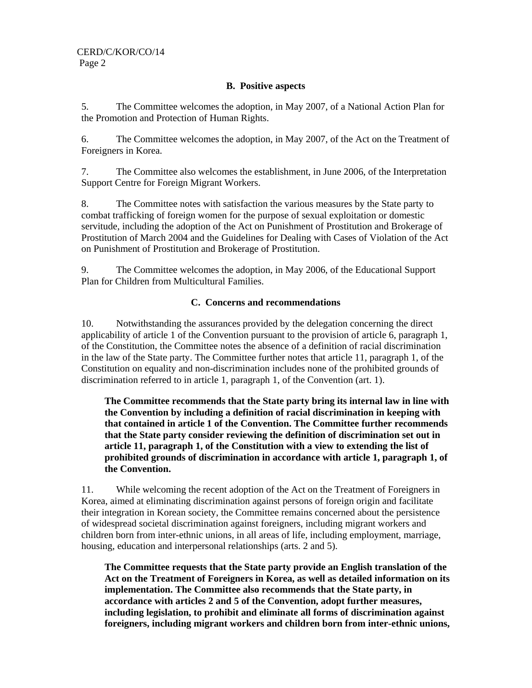## **B. Positive aspects**

5. The Committee welcomes the adoption, in May 2007, of a National Action Plan for the Promotion and Protection of Human Rights.

6. The Committee welcomes the adoption, in May 2007, of the Act on the Treatment of Foreigners in Korea.

7. The Committee also welcomes the establishment, in June 2006, of the Interpretation Support Centre for Foreign Migrant Workers.

8. The Committee notes with satisfaction the various measures by the State party to combat trafficking of foreign women for the purpose of sexual exploitation or domestic servitude, including the adoption of the Act on Punishment of Prostitution and Brokerage of Prostitution of March 2004 and the Guidelines for Dealing with Cases of Violation of the Act on Punishment of Prostitution and Brokerage of Prostitution.

9. The Committee welcomes the adoption, in May 2006, of the Educational Support Plan for Children from Multicultural Families.

## **C. Concerns and recommendations**

10. Notwithstanding the assurances provided by the delegation concerning the direct applicability of article 1 of the Convention pursuant to the provision of article 6, paragraph 1, of the Constitution, the Committee notes the absence of a definition of racial discrimination in the law of the State party. The Committee further notes that article 11, paragraph 1, of the Constitution on equality and non-discrimination includes none of the prohibited grounds of discrimination referred to in article 1, paragraph 1, of the Convention (art. 1).

**The Committee recommends that the State party bring its internal law in line with the Convention by including a definition of racial discrimination in keeping with that contained in article 1 of the Convention. The Committee further recommends that the State party consider reviewing the definition of discrimination set out in article 11, paragraph 1, of the Constitution with a view to extending the list of prohibited grounds of discrimination in accordance with article 1, paragraph 1, of the Convention.** 

11. While welcoming the recent adoption of the Act on the Treatment of Foreigners in Korea, aimed at eliminating discrimination against persons of foreign origin and facilitate their integration in Korean society, the Committee remains concerned about the persistence of widespread societal discrimination against foreigners, including migrant workers and children born from inter-ethnic unions, in all areas of life, including employment, marriage, housing, education and interpersonal relationships (arts. 2 and 5).

**The Committee requests that the State party provide an English translation of the Act on the Treatment of Foreigners in Korea, as well as detailed information on its implementation. The Committee also recommends that the State party, in accordance with articles 2 and 5 of the Convention, adopt further measures, including legislation, to prohibit and eliminate all forms of discrimination against foreigners, including migrant workers and children born from inter-ethnic unions,**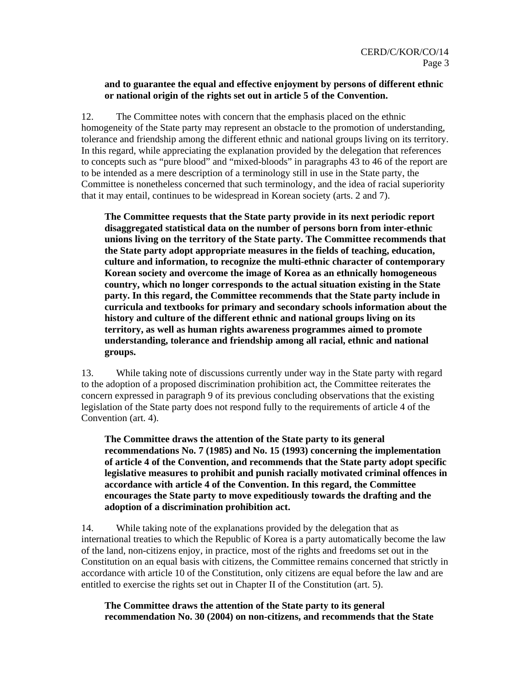## **and to guarantee the equal and effective enjoyment by persons of different ethnic or national origin of the rights set out in article 5 of the Convention.**

12. The Committee notes with concern that the emphasis placed on the ethnic homogeneity of the State party may represent an obstacle to the promotion of understanding, tolerance and friendship among the different ethnic and national groups living on its territory. In this regard, while appreciating the explanation provided by the delegation that references to concepts such as "pure blood" and "mixed-bloods" in paragraphs 43 to 46 of the report are to be intended as a mere description of a terminology still in use in the State party, the Committee is nonetheless concerned that such terminology, and the idea of racial superiority that it may entail, continues to be widespread in Korean society (arts. 2 and 7).

**The Committee requests that the State party provide in its next periodic report disaggregated statistical data on the number of persons born from inter-ethnic unions living on the territory of the State party. The Committee recommends that the State party adopt appropriate measures in the fields of teaching, education, culture and information, to recognize the multi-ethnic character of contemporary Korean society and overcome the image of Korea as an ethnically homogeneous country, which no longer corresponds to the actual situation existing in the State party. In this regard, the Committee recommends that the State party include in curricula and textbooks for primary and secondary schools information about the history and culture of the different ethnic and national groups living on its territory, as well as human rights awareness programmes aimed to promote understanding, tolerance and friendship among all racial, ethnic and national groups.** 

13. While taking note of discussions currently under way in the State party with regard to the adoption of a proposed discrimination prohibition act, the Committee reiterates the concern expressed in paragraph 9 of its previous concluding observations that the existing legislation of the State party does not respond fully to the requirements of article 4 of the Convention (art. 4).

**The Committee draws the attention of the State party to its general recommendations No. 7 (1985) and No. 15 (1993) concerning the implementation of article 4 of the Convention, and recommends that the State party adopt specific legislative measures to prohibit and punish racially motivated criminal offences in accordance with article 4 of the Convention. In this regard, the Committee encourages the State party to move expeditiously towards the drafting and the adoption of a discrimination prohibition act.** 

14. While taking note of the explanations provided by the delegation that as international treaties to which the Republic of Korea is a party automatically become the law of the land, non-citizens enjoy, in practice, most of the rights and freedoms set out in the Constitution on an equal basis with citizens, the Committee remains concerned that strictly in accordance with article 10 of the Constitution, only citizens are equal before the law and are entitled to exercise the rights set out in Chapter II of the Constitution (art. 5).

**The Committee draws the attention of the State party to its general recommendation No. 30 (2004) on non-citizens, and recommends that the State**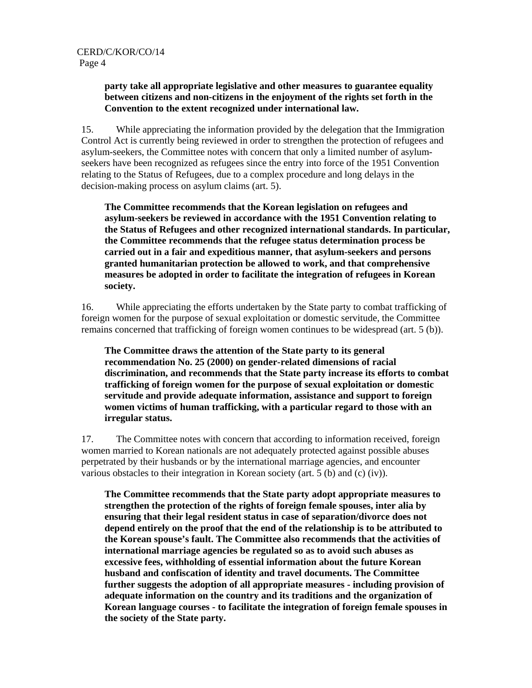## **party take all appropriate legislative and other measures to guarantee equality between citizens and non-citizens in the enjoyment of the rights set forth in the Convention to the extent recognized under international law.**

15. While appreciating the information provided by the delegation that the Immigration Control Act is currently being reviewed in order to strengthen the protection of refugees and asylum-seekers, the Committee notes with concern that only a limited number of asylumseekers have been recognized as refugees since the entry into force of the 1951 Convention relating to the Status of Refugees, due to a complex procedure and long delays in the decision-making process on asylum claims (art. 5).

**The Committee recommends that the Korean legislation on refugees and asylum-seekers be reviewed in accordance with the 1951 Convention relating to the Status of Refugees and other recognized international standards. In particular, the Committee recommends that the refugee status determination process be carried out in a fair and expeditious manner, that asylum-seekers and persons granted humanitarian protection be allowed to work, and that comprehensive measures be adopted in order to facilitate the integration of refugees in Korean society.** 

16. While appreciating the efforts undertaken by the State party to combat trafficking of foreign women for the purpose of sexual exploitation or domestic servitude, the Committee remains concerned that trafficking of foreign women continues to be widespread (art. 5 (b)).

**The Committee draws the attention of the State party to its general recommendation No. 25 (2000) on gender-related dimensions of racial discrimination, and recommends that the State party increase its efforts to combat trafficking of foreign women for the purpose of sexual exploitation or domestic servitude and provide adequate information, assistance and support to foreign women victims of human trafficking, with a particular regard to those with an irregular status.** 

17. The Committee notes with concern that according to information received, foreign women married to Korean nationals are not adequately protected against possible abuses perpetrated by their husbands or by the international marriage agencies, and encounter various obstacles to their integration in Korean society (art. 5 (b) and (c) (iv)).

**The Committee recommends that the State party adopt appropriate measures to strengthen the protection of the rights of foreign female spouses, inter alia by ensuring that their legal resident status in case of separation/divorce does not depend entirely on the proof that the end of the relationship is to be attributed to the Korean spouse's fault. The Committee also recommends that the activities of international marriage agencies be regulated so as to avoid such abuses as excessive fees, withholding of essential information about the future Korean husband and confiscation of identity and travel documents. The Committee further suggests the adoption of all appropriate measures - including provision of adequate information on the country and its traditions and the organization of Korean language courses - to facilitate the integration of foreign female spouses in the society of the State party.**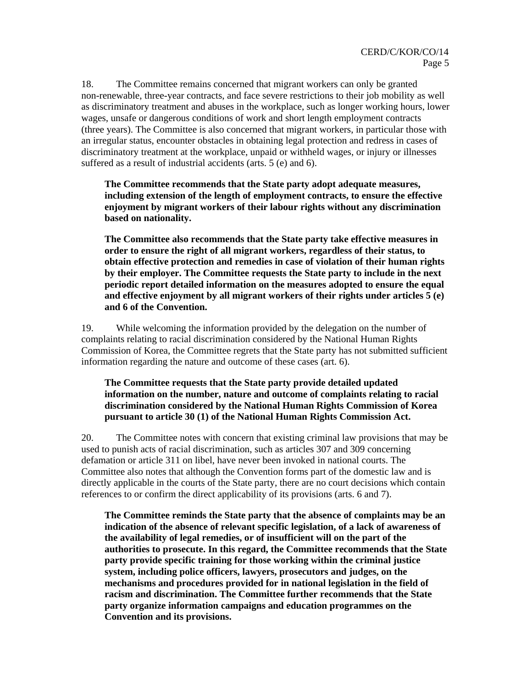18. The Committee remains concerned that migrant workers can only be granted non-renewable, three-year contracts, and face severe restrictions to their job mobility as well as discriminatory treatment and abuses in the workplace, such as longer working hours, lower wages, unsafe or dangerous conditions of work and short length employment contracts (three years). The Committee is also concerned that migrant workers, in particular those with an irregular status, encounter obstacles in obtaining legal protection and redress in cases of discriminatory treatment at the workplace, unpaid or withheld wages, or injury or illnesses suffered as a result of industrial accidents (arts. 5 (e) and 6).

**The Committee recommends that the State party adopt adequate measures, including extension of the length of employment contracts, to ensure the effective enjoyment by migrant workers of their labour rights without any discrimination based on nationality.** 

**The Committee also recommends that the State party take effective measures in order to ensure the right of all migrant workers, regardless of their status, to obtain effective protection and remedies in case of violation of their human rights by their employer. The Committee requests the State party to include in the next periodic report detailed information on the measures adopted to ensure the equal and effective enjoyment by all migrant workers of their rights under articles 5 (e) and 6 of the Convention.** 

19. While welcoming the information provided by the delegation on the number of complaints relating to racial discrimination considered by the National Human Rights Commission of Korea, the Committee regrets that the State party has not submitted sufficient information regarding the nature and outcome of these cases (art. 6).

## **The Committee requests that the State party provide detailed updated information on the number, nature and outcome of complaints relating to racial discrimination considered by the National Human Rights Commission of Korea pursuant to article 30 (1) of the National Human Rights Commission Act.**

20. The Committee notes with concern that existing criminal law provisions that may be used to punish acts of racial discrimination, such as articles 307 and 309 concerning defamation or article 311 on libel, have never been invoked in national courts. The Committee also notes that although the Convention forms part of the domestic law and is directly applicable in the courts of the State party, there are no court decisions which contain references to or confirm the direct applicability of its provisions (arts. 6 and 7).

**The Committee reminds the State party that the absence of complaints may be an indication of the absence of relevant specific legislation, of a lack of awareness of the availability of legal remedies, or of insufficient will on the part of the authorities to prosecute. In this regard, the Committee recommends that the State party provide specific training for those working within the criminal justice system, including police officers, lawyers, prosecutors and judges, on the mechanisms and procedures provided for in national legislation in the field of racism and discrimination. The Committee further recommends that the State party organize information campaigns and education programmes on the Convention and its provisions.**